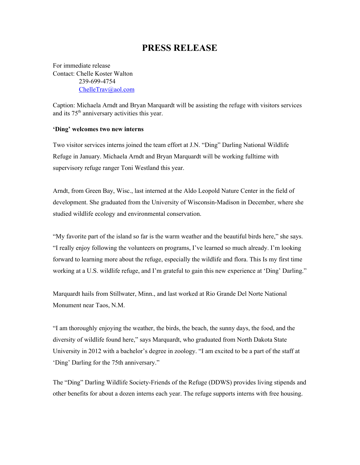## **PRESS RELEASE**

For immediate release Contact: Chelle Koster Walton 239-699-4754 [ChelleTrav@aol.com](mailto:ChelleTrav@aol.com)

Caption: Michaela Arndt and Bryan Marquardt will be assisting the refuge with visitors services and its 75<sup>th</sup> anniversary activities this year.

## **'Ding' welcomes two new interns**

Two visitor services interns joined the team effort at J.N. "Ding" Darling National Wildlife Refuge in January. Michaela Arndt and Bryan Marquardt will be working fulltime with supervisory refuge ranger Toni Westland this year.

Arndt, from Green Bay, Wisc., last interned at the Aldo Leopold Nature Center in the field of development. She graduated from the University of Wisconsin-Madison in December, where she studied wildlife ecology and environmental conservation.

"My favorite part of the island so far is the warm weather and the beautiful birds here," she says. "I really enjoy following the volunteers on programs, I've learned so much already. I'm looking forward to learning more about the refuge, especially the wildlife and flora. This Is my first time working at a U.S. wildlife refuge, and I'm grateful to gain this new experience at 'Ding' Darling."

Marquardt hails from Stillwater, Minn., and last worked at Rio Grande Del Norte National Monument near Taos, N.M.

"I am thoroughly enjoying the weather, the birds, the beach, the sunny days, the food, and the diversity of wildlife found here," says Marquardt, who graduated from North Dakota State University in 2012 with a bachelor's degree in zoology. "I am excited to be a part of the staff at 'Ding' Darling for the 75th anniversary."

The "Ding" Darling Wildlife Society-Friends of the Refuge (DDWS) provides living stipends and other benefits for about a dozen interns each year. The refuge supports interns with free housing.